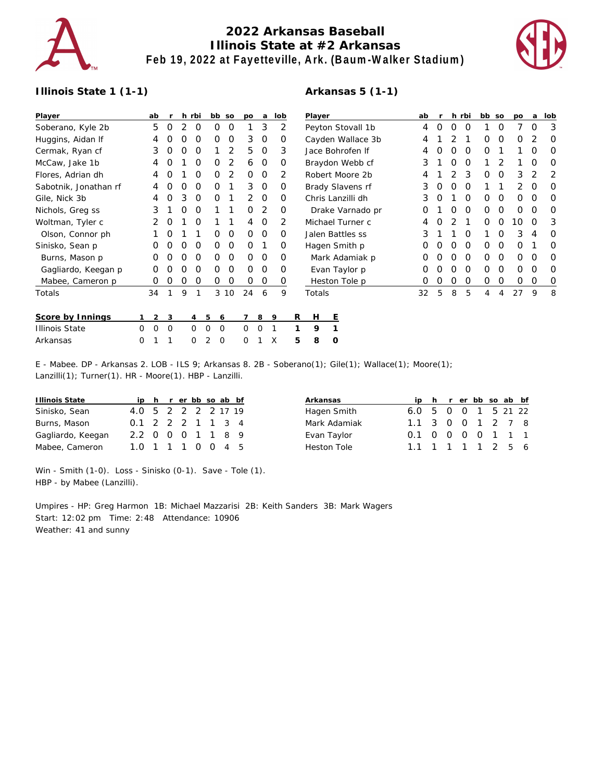

## **2022 Arkansas Baseball Illinois State at #2 Arkansas Feb 19, 2022 at Fayetteville, Ark. (Baum-Walker Stadium)**



## **Illinois State 1 (1-1)**

## **Arkansas 5 (1-1)**

| Player                |          | ab               |            |            | h rbi    | bb so                |      | po       | a        | lob |                   | Player            |   |                  |   | ab |   |          | h rbi    | bb so |          | po          | a        | lob      |
|-----------------------|----------|------------------|------------|------------|----------|----------------------|------|----------|----------|-----|-------------------|-------------------|---|------------------|---|----|---|----------|----------|-------|----------|-------------|----------|----------|
| Soberano, Kyle 2b     |          | 5                | 0          | 2          | 0        | 0                    | 0    |          | 3        | 2   | Peyton Stovall 1b |                   |   |                  | 4 | 0  | 0 | 0        |          | 0     |          | 0           | 3        |          |
| Huggins, Aidan If     |          | 4                |            |            | O        | 0                    | 0    | 3        | 0        | O   | Cayden Wallace 3b |                   |   |                  |   | 4  |   |          |          | O     | 0        | O           | 2        | 0        |
| Cermak, Ryan cf       |          | 3                | $\Omega$   | $\left($ ) | 0        |                      | 2    | 5        | 0        | 3   |                   | Jace Bohrofen If  |   |                  |   |    |   | O        | $\Omega$ | 0     |          |             | O        | O        |
| McCaw, Jake 1b        |          | 4                | O          |            | 0        | 0                    | 2    | 6        | 0        | O   |                   |                   |   | Braydon Webb cf  |   | 3  |   | O        | $\Omega$ |       | 2        |             | O        | 0        |
| Flores, Adrian dh     |          | 4                |            |            | O        | Ο                    | 2    | $\Omega$ | $\Omega$ | 2   |                   |                   |   | Robert Moore 2b  |   | 4  |   |          | 3        | O     | $\Omega$ | 3           | 2        | 2        |
| Sabotnik, Jonathan rf |          | 4                |            | Ω          | O        | O                    |      | 3        | 0        | O   |                   |                   |   | Brady Slavens rf |   | 3  |   | O        | $\Omega$ |       |          | 2           | O        | $\Omega$ |
| Gile, Nick 3b         |          | 4                | $\Omega$   | 3          | $\Omega$ | 0                    |      | 2        | $\Omega$ | Ο   |                   | Chris Lanzilli dh |   |                  |   | 3  | O |          | $\Omega$ | 0     | 0        | 0           | O        | $\Omega$ |
| Nichols, Greg ss      |          | 3                |            | O          | 0        |                      |      | $\Omega$ | 2        | O   |                   | Drake Varnado pr  |   |                  |   | O  |   | O        | $\Omega$ | 0     | 0        | $\mathbf 0$ | $\Omega$ | $\Omega$ |
| Woltman, Tyler c      |          | 2                | O          |            | 0        |                      |      | 4        | 0        | 2   |                   | Michael Turner c  |   |                  |   | 4  | O | 2        |          | 0     | 0        | 10          | O        | 3        |
| Olson, Connor ph      |          |                  | O          |            |          | Ο                    | 0    | $\Omega$ | $\Omega$ | Ο   |                   | Jalen Battles ss  |   |                  |   | 3  |   |          | $\Omega$ |       | 0        | 3           | 4        | $\Omega$ |
| Sinisko, Sean p       |          | $\left( \right)$ | O          | $\Omega$   | 0        | 0                    | 0    | $\Omega$ |          | O   |                   |                   |   | Hagen Smith p    |   | O  |   | O        | $\Omega$ | 0     | 0        | 0           |          | 0        |
| Burns, Mason p        |          | O                | $\left($ ) | Ω          | 0        | 0                    | 0    | $\Omega$ | $\Omega$ | Ο   |                   |                   |   | Mark Adamiak p   |   | O  |   | $\Omega$ | $\Omega$ | 0     | 0        | 0           | O        | $\Omega$ |
| Gagliardo, Keegan p   |          |                  |            |            | O        | 0                    | 0    | $\Omega$ | $\Omega$ | Ο   |                   |                   |   | Evan Taylor p    |   | O  |   |          | $\Omega$ | O     | O        | O           | $\Omega$ | O        |
| Mabee, Cameron p      |          | O                | O          | O          | 0        | 0                    | 0    | $\Omega$ | 0        | 0   |                   |                   |   | Heston Tole p    |   | 0  | O | O        | 0        | 0     | O        | 0           | O        | 0        |
| Totals                |          | 34               |            | 9          | 1        |                      | 3 10 | 24       | 6        | 9   |                   | Totals            |   |                  |   | 32 | 5 | 8        | 5        | 4     | 4        | 27          | 9        | 8        |
| Score by Innings      |          | 2                | 3          |            | 4        | 5<br>6               |      |          | 8        | 9   | R                 | H                 | Ε |                  |   |    |   |          |          |       |          |             |          |          |
| <b>Illinois State</b> | $\Omega$ | $\Omega$         | $\Omega$   |            | $\Omega$ | $\Omega$<br>$\Omega$ |      | 0        |          |     |                   | 9                 |   |                  |   |    |   |          |          |       |          |             |          |          |
| Arkansas              | 0        |                  |            |            | 0        | 2<br>$\mathbf 0$     |      | 0        |          | X   | 5                 | 8                 | O |                  |   |    |   |          |          |       |          |             |          |          |

E - Mabee. DP - Arkansas 2. LOB - ILS 9; Arkansas 8. 2B - Soberano(1); Gile(1); Wallace(1); Moore(1); Lanzilli(1); Turner(1). HR - Moore(1). HBP - Lanzilli.

| Illinois State    |                     |  | ip h r er bb so ab bf |  |  |
|-------------------|---------------------|--|-----------------------|--|--|
| Sinisko, Sean     | 4.0 5 2 2 2 2 17 19 |  |                       |  |  |
| Burns, Mason      | 0.1 2 2 2 1 1 3 4   |  |                       |  |  |
| Gagliardo, Keegan | 2.2 0 0 0 1 1 8 9   |  |                       |  |  |
| Mabee, Cameron    | 1.0 1 1 1 0 0 4 5   |  |                       |  |  |

| Arkansas     |                     |  |  | ip h r er bb so ab bf |  |
|--------------|---------------------|--|--|-----------------------|--|
| Hagen Smith  | 6.0 5 0 0 1 5 21 22 |  |  |                       |  |
| Mark Adamiak | 1.1 3 0 0 1 2 7 8   |  |  |                       |  |
| Evan Taylor  | 0.1 0 0 0 0 1 1 1   |  |  |                       |  |
| Heston Tole  | 1.1 1 1 1 1 2 5 6   |  |  |                       |  |

|                            | Win - Smith (1-0). Loss - Sinisko (0-1). Save - Tole (1). |  |
|----------------------------|-----------------------------------------------------------|--|
| HBP - by Mabee (Lanzilli). |                                                           |  |

Umpires - HP: Greg Harmon 1B: Michael Mazzarisi 2B: Keith Sanders 3B: Mark Wagers Start: 12:02 pm Time: 2:48 Attendance: 10906 Weather: 41 and sunny